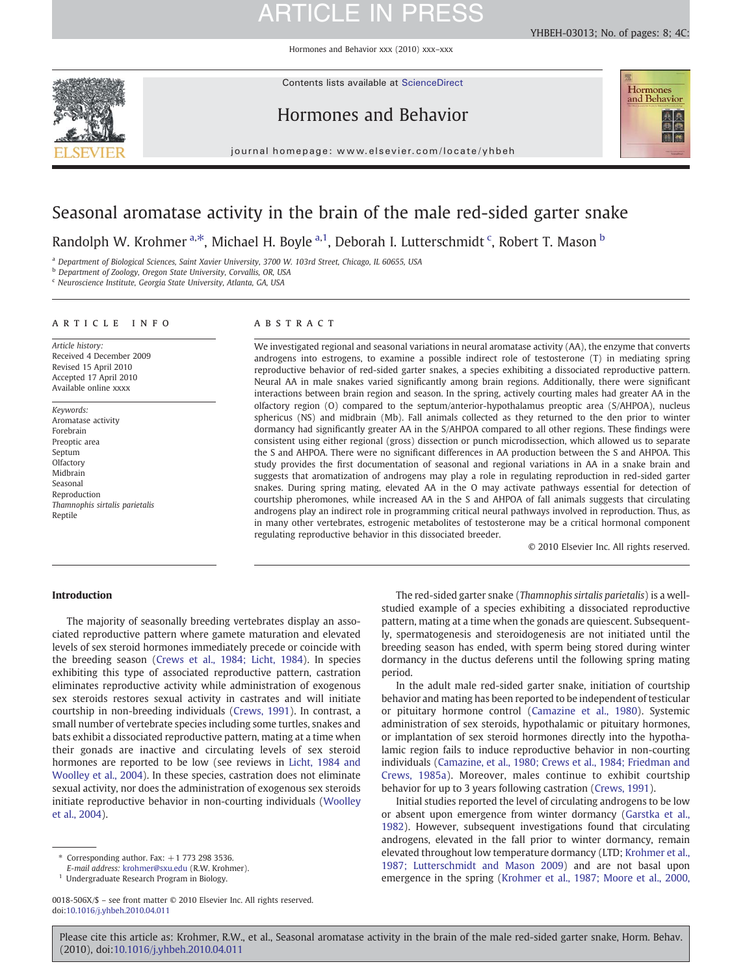Hormones and Behavior xxx (2010) xxx–xxx

Contents lists available at ScienceDirect



Hormones and Behavior





journal homepage: www.elsevier.com/locate/yhbeh

### Seasonal aromatase activity in the brain of the male red-sided garter snake

Randolph W. Krohmer <sup>a,\*</sup>, Michael H. Boyle <sup>a,1</sup>, Deborah I. Lutterschmidt <sup>c</sup>, Robert T. Mason <sup>b</sup>

a Department of Biological Sciences, Saint Xavier University, 3700 W. 103rd Street, Chicago, IL 60655, USA

b Department of Zoology, Oregon State University, Corvallis, OR, USA

<sup>c</sup> Neuroscience Institute, Georgia State University, Atlanta, GA, USA

#### article info abstract

Article history: Received 4 December 2009 Revised 15 April 2010 Accepted 17 April 2010 Available online xxxx

Keywords: Aromatase activity Forebrain Preoptic area Septum **Olfactory** Midbrain Seasonal Reproduction Thamnophis sirtalis parietalis Reptile

We investigated regional and seasonal variations in neural aromatase activity (AA), the enzyme that converts androgens into estrogens, to examine a possible indirect role of testosterone (T) in mediating spring reproductive behavior of red-sided garter snakes, a species exhibiting a dissociated reproductive pattern. Neural AA in male snakes varied significantly among brain regions. Additionally, there were significant interactions between brain region and season. In the spring, actively courting males had greater AA in the olfactory region (O) compared to the septum/anterior-hypothalamus preoptic area (S/AHPOA), nucleus sphericus (NS) and midbrain (Mb). Fall animals collected as they returned to the den prior to winter dormancy had significantly greater AA in the S/AHPOA compared to all other regions. These findings were consistent using either regional (gross) dissection or punch microdissection, which allowed us to separate the S and AHPOA. There were no significant differences in AA production between the S and AHPOA. This study provides the first documentation of seasonal and regional variations in AA in a snake brain and suggests that aromatization of androgens may play a role in regulating reproduction in red-sided garter snakes. During spring mating, elevated AA in the O may activate pathways essential for detection of courtship pheromones, while increased AA in the S and AHPOA of fall animals suggests that circulating androgens play an indirect role in programming critical neural pathways involved in reproduction. Thus, as in many other vertebrates, estrogenic metabolites of testosterone may be a critical hormonal component regulating reproductive behavior in this dissociated breeder.

© 2010 Elsevier Inc. All rights reserved.

#### Introduction

The majority of seasonally breeding vertebrates display an associated reproductive pattern where gamete maturation and elevated levels of sex steroid hormones immediately precede or coincide with the breeding season [\(Crews et al., 1984; Licht, 1984\)](#page-6-0). In species exhibiting this type of associated reproductive pattern, castration eliminates reproductive activity while administration of exogenous sex steroids restores sexual activity in castrates and will initiate courtship in non-breeding individuals [\(Crews, 1991\)](#page-6-0). In contrast, a small number of vertebrate species including some turtles, snakes and bats exhibit a dissociated reproductive pattern, mating at a time when their gonads are inactive and circulating levels of sex steroid hormones are reported to be low (see reviews in [Licht, 1984 and](#page-6-0) [Woolley et al., 2004](#page-6-0)). In these species, castration does not eliminate sexual activity, nor does the administration of exogenous sex steroids initiate reproductive behavior in non-courting individuals [\(Woolley](#page-7-0) [et al., 2004\)](#page-7-0).

Corresponding author. Fax:  $+1$  773 298 3536.

E-mail address: [krohmer@sxu.edu](mailto:krohmer@sxu.edu) (R.W. Krohmer).

<sup>1</sup> Undergraduate Research Program in Biology.

The red-sided garter snake (Thamnophis sirtalis parietalis) is a wellstudied example of a species exhibiting a dissociated reproductive pattern, mating at a time when the gonads are quiescent. Subsequently, spermatogenesis and steroidogenesis are not initiated until the breeding season has ended, with sperm being stored during winter dormancy in the ductus deferens until the following spring mating period.

In the adult male red-sided garter snake, initiation of courtship behavior and mating has been reported to be independent of testicular or pituitary hormone control ([Camazine et al., 1980\)](#page-6-0). Systemic administration of sex steroids, hypothalamic or pituitary hormones, or implantation of sex steroid hormones directly into the hypothalamic region fails to induce reproductive behavior in non-courting individuals ([Camazine, et al., 1980; Crews et al., 1984; Friedman and](#page-6-0) [Crews, 1985a](#page-6-0)). Moreover, males continue to exhibit courtship behavior for up to 3 years following castration [\(Crews, 1991\)](#page-6-0).

Initial studies reported the level of circulating androgens to be low or absent upon emergence from winter dormancy [\(Garstka et al.,](#page-6-0) [1982\)](#page-6-0). However, subsequent investigations found that circulating androgens, elevated in the fall prior to winter dormancy, remain elevated throughout low temperature dormancy (LTD; [Krohmer et al.,](#page-6-0) [1987; Lutterschmidt and Mason 2009\)](#page-6-0) and are not basal upon emergence in the spring [\(Krohmer et al., 1987; Moore et al., 2000,](#page-6-0)

<sup>0018-506</sup>X/\$ – see front matter © 2010 Elsevier Inc. All rights reserved. doi:[10.1016/j.yhbeh.2010.04.011](http://dx.doi.org/10.1016/j.yhbeh.2010.04.011)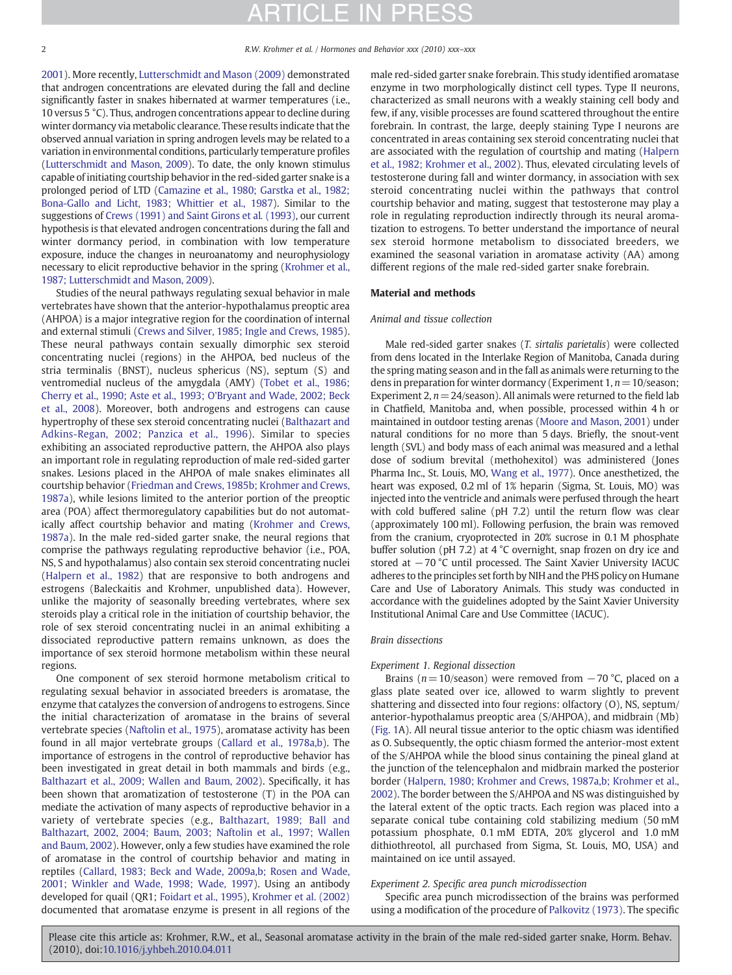[2001\)](#page-6-0). More recently, [Lutterschmidt and Mason \(2009\)](#page-6-0) demonstrated that androgen concentrations are elevated during the fall and decline significantly faster in snakes hibernated at warmer temperatures (i.e., 10 versus 5 °C). Thus, androgen concentrations appear to decline during winter dormancy via metabolic clearance. These results indicate that the observed annual variation in spring androgen levels may be related to a variation in environmental conditions, particularly temperature profiles [\(Lutterschmidt and Mason, 2009\)](#page-6-0). To date, the only known stimulus capable of initiating courtship behavior in the red-sided garter snake is a prolonged period of LTD ([Camazine et al., 1980; Garstka et al., 1982;](#page-6-0) [Bona-Gallo and Licht, 1983; Whittier et al., 1987](#page-6-0)). Similar to the suggestions of [Crews \(1991\) and Saint Girons et al](#page-6-0). (1993), our current hypothesis is that elevated androgen concentrations during the fall and winter dormancy period, in combination with low temperature exposure, induce the changes in neuroanatomy and neurophysiology necessary to elicit reproductive behavior in the spring ([Krohmer et al.,](#page-6-0) [1987; Lutterschmidt and Mason, 2009](#page-6-0)).

Studies of the neural pathways regulating sexual behavior in male vertebrates have shown that the anterior-hypothalamus preoptic area (AHPOA) is a major integrative region for the coordination of internal and external stimuli [\(Crews and Silver, 1985; Ingle and Crews, 1985](#page-6-0)). These neural pathways contain sexually dimorphic sex steroid concentrating nuclei (regions) in the AHPOA, bed nucleus of the stria terminalis (BNST), nucleus sphericus (NS), septum (S) and ventromedial nucleus of the amygdala (AMY) ([Tobet et al., 1986;](#page-7-0) [Cherry et al., 1990; Aste et al., 1993; O'Bryant and Wade, 2002; Beck](#page-7-0) [et al., 2008](#page-7-0)). Moreover, both androgens and estrogens can cause hypertrophy of these sex steroid concentrating nuclei [\(Balthazart and](#page-6-0) [Adkins-Regan, 2002; Panzica et al., 1996\)](#page-6-0). Similar to species exhibiting an associated reproductive pattern, the AHPOA also plays an important role in regulating reproduction of male red-sided garter snakes. Lesions placed in the AHPOA of male snakes eliminates all courtship behavior ([Friedman and Crews, 1985b; Krohmer and Crews,](#page-6-0) [1987a](#page-6-0)), while lesions limited to the anterior portion of the preoptic area (POA) affect thermoregulatory capabilities but do not automatically affect courtship behavior and mating [\(Krohmer and Crews,](#page-6-0) [1987a](#page-6-0)). In the male red-sided garter snake, the neural regions that comprise the pathways regulating reproductive behavior (i.e., POA, NS, S and hypothalamus) also contain sex steroid concentrating nuclei [\(Halpern et al., 1982](#page-6-0)) that are responsive to both androgens and estrogens (Baleckaitis and Krohmer, unpublished data). However, unlike the majority of seasonally breeding vertebrates, where sex steroids play a critical role in the initiation of courtship behavior, the role of sex steroid concentrating nuclei in an animal exhibiting a dissociated reproductive pattern remains unknown, as does the importance of sex steroid hormone metabolism within these neural regions.

One component of sex steroid hormone metabolism critical to regulating sexual behavior in associated breeders is aromatase, the enzyme that catalyzes the conversion of androgens to estrogens. Since the initial characterization of aromatase in the brains of several vertebrate species [\(Naftolin et al., 1975](#page-7-0)), aromatase activity has been found in all major vertebrate groups [\(Callard et al., 1978a,b](#page-6-0)). The importance of estrogens in the control of reproductive behavior has been investigated in great detail in both mammals and birds (e.g., [Balthazart et al., 2009; Wallen and Baum, 2002](#page-6-0)). Specifically, it has been shown that aromatization of testosterone (T) in the POA can mediate the activation of many aspects of reproductive behavior in a variety of vertebrate species (e.g., [Balthazart, 1989; Ball and](#page-6-0) [Balthazart, 2002, 2004; Baum, 2003; Naftolin et al., 1997; Wallen](#page-6-0) [and Baum, 2002](#page-6-0)). However, only a few studies have examined the role of aromatase in the control of courtship behavior and mating in reptiles ([Callard, 1983; Beck and Wade, 2009a,b; Rosen and Wade,](#page-6-0) 2001; [Winkler and Wade, 1998; Wade, 1997](#page-6-0)). Using an antibody developed for quail (QR1; [Foidart et al., 1995\)](#page-6-0), [Krohmer et al. \(2002\)](#page-6-0) documented that aromatase enzyme is present in all regions of the

male red-sided garter snake forebrain. This study identified aromatase enzyme in two morphologically distinct cell types. Type II neurons, characterized as small neurons with a weakly staining cell body and few, if any, visible processes are found scattered throughout the entire forebrain. In contrast, the large, deeply staining Type I neurons are concentrated in areas containing sex steroid concentrating nuclei that are associated with the regulation of courtship and mating ([Halpern](#page-6-0) [et al., 1982; Krohmer et al., 2002](#page-6-0)). Thus, elevated circulating levels of testosterone during fall and winter dormancy, in association with sex steroid concentrating nuclei within the pathways that control courtship behavior and mating, suggest that testosterone may play a role in regulating reproduction indirectly through its neural aromatization to estrogens. To better understand the importance of neural sex steroid hormone metabolism to dissociated breeders, we examined the seasonal variation in aromatase activity (AA) among different regions of the male red-sided garter snake forebrain.

#### Material and methods

#### Animal and tissue collection

Male red-sided garter snakes (T. sirtalis parietalis) were collected from dens located in the Interlake Region of Manitoba, Canada during the spring mating season and in the fall as animals were returning to the dens in preparation for winter dormancy (Experiment 1,  $n=10$ /season; Experiment 2,  $n=24$ /season). All animals were returned to the field lab in Chatfield, Manitoba and, when possible, processed within 4 h or maintained in outdoor testing arenas [\(Moore and Mason, 2001\)](#page-7-0) under natural conditions for no more than 5 days. Briefly, the snout-vent length (SVL) and body mass of each animal was measured and a lethal dose of sodium brevital (methohexitol) was administered (Jones Pharma Inc., St. Louis, MO, [Wang et al., 1977](#page-7-0)). Once anesthetized, the heart was exposed, 0.2 ml of 1% heparin (Sigma, St. Louis, MO) was injected into the ventricle and animals were perfused through the heart with cold buffered saline (pH 7.2) until the return flow was clear (approximately 100 ml). Following perfusion, the brain was removed from the cranium, cryoprotected in 20% sucrose in 0.1 M phosphate buffer solution (pH 7.2) at 4 °C overnight, snap frozen on dry ice and stored at −70 °C until processed. The Saint Xavier University IACUC adheres to the principles set forth by NIH and the PHS policy on Humane Care and Use of Laboratory Animals. This study was conducted in accordance with the guidelines adopted by the Saint Xavier University Institutional Animal Care and Use Committee (IACUC).

#### Brain dissections

#### Experiment 1. Regional dissection

Brains ( $n = 10$ /season) were removed from  $-70$  °C, placed on a glass plate seated over ice, allowed to warm slightly to prevent shattering and dissected into four regions: olfactory (O), NS, septum/ anterior-hypothalamus preoptic area (S/AHPOA), and midbrain (Mb) [\(Fig. 1](#page-2-0)A). All neural tissue anterior to the optic chiasm was identified as O. Subsequently, the optic chiasm formed the anterior-most extent of the S/AHPOA while the blood sinus containing the pineal gland at the junction of the telencephalon and midbrain marked the posterior border ([Halpern, 1980; Krohmer and Crews, 1987a,b; Krohmer et al.,](#page-6-0) [2002\)](#page-6-0). The border between the S/AHPOA and NS was distinguished by the lateral extent of the optic tracts. Each region was placed into a separate conical tube containing cold stabilizing medium (50 mM potassium phosphate, 0.1 mM EDTA, 20% glycerol and 1.0 mM dithiothreotol, all purchased from Sigma, St. Louis, MO, USA) and maintained on ice until assayed.

#### Experiment 2. Specific area punch microdissection

Specific area punch microdissection of the brains was performed using a modification of the procedure of [Palkovitz \(1973\)](#page-7-0). The specific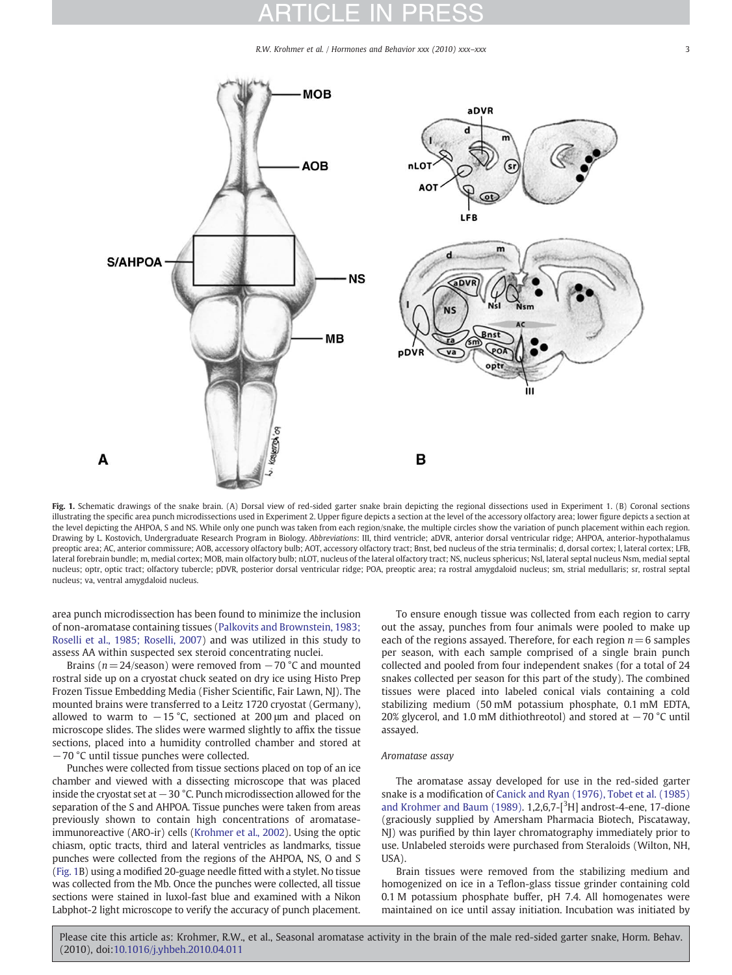R.W. Krohmer et al. / Hormones and Behavior xxx (2010) xxx-xxx

<span id="page-2-0"></span>

Fig. 1. Schematic drawings of the snake brain. (A) Dorsal view of red-sided garter snake brain depicting the regional dissections used in Experiment 1. (B) Coronal sections illustrating the specific area punch microdissections used in Experiment 2. Upper figure depicts a section at the level of the accessory olfactory area; lower figure depicts a section at the level depicting the AHPOA, S and NS. While only one punch was taken from each region/snake, the multiple circles show the variation of punch placement within each region. Drawing by L. Kostovich, Undergraduate Research Program in Biology. Abbreviations: III, third ventricle; aDVR, anterior dorsal ventricular ridge; AHPOA, anterior-hypothalamus preoptic area; AC, anterior commissure; AOB, accessory olfactory bulb; AOT, accessory olfactory tract; Bnst, bed nucleus of the stria terminalis; d, dorsal cortex; l, lateral cortex; LFB, lateral forebrain bundle; m, medial cortex; MOB, main olfactory bulb; nLOT, nucleus of the lateral olfactory tract; NS, nucleus sphericus; Nsl, lateral septal nucleus Nsm, medial septal nucleus; optr, optic tract; olfactory tubercle; pDVR, posterior dorsal ventricular ridge; POA, preoptic area; ra rostral amygdaloid nucleus; sm, strial medullaris; sr, rostral septal nucleus; va, ventral amygdaloid nucleus.

area punch microdissection has been found to minimize the inclusion of non-aromatase containing tissues ([Palkovits and Brownstein, 1983;](#page-7-0) [Roselli et al., 1985; Roselli, 2007](#page-7-0)) and was utilized in this study to assess AA within suspected sex steroid concentrating nuclei.

Brains ( $n = 24$ /season) were removed from  $-70$  °C and mounted rostral side up on a cryostat chuck seated on dry ice using Histo Prep Frozen Tissue Embedding Media (Fisher Scientific, Fair Lawn, NJ). The mounted brains were transferred to a Leitz 1720 cryostat (Germany), allowed to warm to  $-15$  °C, sectioned at 200  $\mu$ m and placed on microscope slides. The slides were warmed slightly to affix the tissue sections, placed into a humidity controlled chamber and stored at −70 °C until tissue punches were collected.

Punches were collected from tissue sections placed on top of an ice chamber and viewed with a dissecting microscope that was placed inside the cryostat set at −30 °C. Punch microdissection allowed for the separation of the S and AHPOA. Tissue punches were taken from areas previously shown to contain high concentrations of aromataseimmunoreactive (ARO-ir) cells [\(Krohmer et al., 2002\)](#page-6-0). Using the optic chiasm, optic tracts, third and lateral ventricles as landmarks, tissue punches were collected from the regions of the AHPOA, NS, O and S (Fig. 1B) using a modified 20-guage needle fitted with a stylet. No tissue was collected from the Mb. Once the punches were collected, all tissue sections were stained in luxol-fast blue and examined with a Nikon Labphot-2 light microscope to verify the accuracy of punch placement.

To ensure enough tissue was collected from each region to carry out the assay, punches from four animals were pooled to make up each of the regions assayed. Therefore, for each region  $n=6$  samples per season, with each sample comprised of a single brain punch collected and pooled from four independent snakes (for a total of 24 snakes collected per season for this part of the study). The combined tissues were placed into labeled conical vials containing a cold stabilizing medium (50 mM potassium phosphate, 0.1 mM EDTA, 20% glycerol, and 1.0 mM dithiothreotol) and stored at −70 °C until assayed.

#### Aromatase assay

The aromatase assay developed for use in the red-sided garter snake is a modification of [Canick and Ryan \(1976\), Tobet et al. \(1985\)](#page-6-0) [and Krohmer and Baum \(1989\).](#page-6-0)  $1,2,6,7$ - $[³H]$  androst-4-ene, 17-dione (graciously supplied by Amersham Pharmacia Biotech, Piscataway, NJ) was purified by thin layer chromatography immediately prior to use. Unlabeled steroids were purchased from Steraloids (Wilton, NH, USA).

Brain tissues were removed from the stabilizing medium and homogenized on ice in a Teflon-glass tissue grinder containing cold 0.1 M potassium phosphate buffer, pH 7.4. All homogenates were maintained on ice until assay initiation. Incubation was initiated by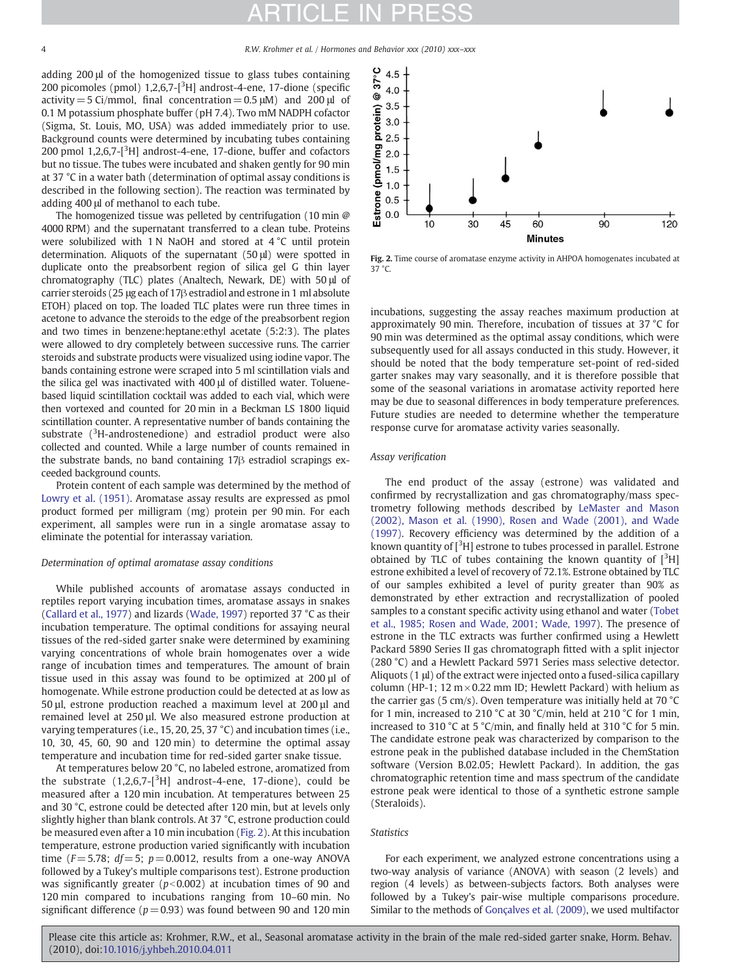<span id="page-3-0"></span>4 R.W. Krohmer et al. / Hormones and Behavior xxx (2010) xxx–xxx

adding 200 μl of the homogenized tissue to glass tubes containing 200 picomoles (pmol)  $1,2,6,7$ - $[$ <sup>3</sup>H] androst-4-ene, 17-dione (specific activity = 5 Ci/mmol, final concentration =  $0.5 \mu$ M) and 200  $\mu$ l of 0.1 M potassium phosphate buffer (pH 7.4). Two mM NADPH cofactor (Sigma, St. Louis, MO, USA) was added immediately prior to use. Background counts were determined by incubating tubes containing 200 pmol 1,2,6,7-[<sup>3</sup>H] androst-4-ene, 17-dione, buffer and cofactors but no tissue. The tubes were incubated and shaken gently for 90 min at 37 °C in a water bath (determination of optimal assay conditions is described in the following section). The reaction was terminated by adding 400 μl of methanol to each tube.

The homogenized tissue was pelleted by centrifugation (10 min @ 4000 RPM) and the supernatant transferred to a clean tube. Proteins were solubilized with 1 N NaOH and stored at 4 °C until protein determination. Aliquots of the supernatant (50 μl) were spotted in duplicate onto the preabsorbent region of silica gel G thin layer chromatography (TLC) plates (Analtech, Newark, DE) with 50 μl of carrier steroids (25 μg each of 17β estradiol and estrone in 1 ml absolute ETOH) placed on top. The loaded TLC plates were run three times in acetone to advance the steroids to the edge of the preabsorbent region and two times in benzene:heptane:ethyl acetate (5:2:3). The plates were allowed to dry completely between successive runs. The carrier steroids and substrate products were visualized using iodine vapor. The bands containing estrone were scraped into 5 ml scintillation vials and the silica gel was inactivated with 400 μl of distilled water. Toluenebased liquid scintillation cocktail was added to each vial, which were then vortexed and counted for 20 min in a Beckman LS 1800 liquid scintillation counter. A representative number of bands containing the substrate  $(^{3}$ H-androstenedione) and estradiol product were also collected and counted. While a large number of counts remained in the substrate bands, no band containing 17β estradiol scrapings exceeded background counts.

Protein content of each sample was determined by the method of [Lowry et al. \(1951\).](#page-6-0) Aromatase assay results are expressed as pmol product formed per milligram (mg) protein per 90 min. For each experiment, all samples were run in a single aromatase assay to eliminate the potential for interassay variation.

#### Determination of optimal aromatase assay conditions

While published accounts of aromatase assays conducted in reptiles report varying incubation times, aromatase assays in snakes [\(Callard et al., 1977\)](#page-6-0) and lizards ([Wade, 1997\)](#page-7-0) reported 37 °C as their incubation temperature. The optimal conditions for assaying neural tissues of the red-sided garter snake were determined by examining varying concentrations of whole brain homogenates over a wide range of incubation times and temperatures. The amount of brain tissue used in this assay was found to be optimized at 200 µl of homogenate. While estrone production could be detected at as low as 50 µl, estrone production reached a maximum level at 200 µl and remained level at 250 µl. We also measured estrone production at varying temperatures (i.e., 15, 20, 25, 37 °C) and incubation times (i.e., 10, 30, 45, 60, 90 and 120 min) to determine the optimal assay temperature and incubation time for red-sided garter snake tissue.

At temperatures below 20 °C, no labeled estrone, aromatized from the substrate  $(1,2,6,7-[{}^{3}H]$  androst-4-ene, 17-dione), could be measured after a 120 min incubation. At temperatures between 25 and 30 °C, estrone could be detected after 120 min, but at levels only slightly higher than blank controls. At 37 °C, estrone production could be measured even after a 10 min incubation (Fig. 2). At this incubation temperature, estrone production varied significantly with incubation time ( $F = 5.78$ ;  $df = 5$ ;  $p = 0.0012$ , results from a one-way ANOVA followed by a Tukey's multiple comparisons test). Estrone production was significantly greater ( $p<0.002$ ) at incubation times of 90 and 120 min compared to incubations ranging from 10–60 min. No significant difference ( $p = 0.93$ ) was found between 90 and 120 min



Fig. 2. Time course of aromatase enzyme activity in AHPOA homogenates incubated at 37 °C.

incubations, suggesting the assay reaches maximum production at approximately 90 min. Therefore, incubation of tissues at 37 °C for 90 min was determined as the optimal assay conditions, which were subsequently used for all assays conducted in this study. However, it should be noted that the body temperature set-point of red-sided garter snakes may vary seasonally, and it is therefore possible that some of the seasonal variations in aromatase activity reported here may be due to seasonal differences in body temperature preferences. Future studies are needed to determine whether the temperature response curve for aromatase activity varies seasonally.

#### Assay verification

The end product of the assay (estrone) was validated and confirmed by recrystallization and gas chromatography/mass spectrometry following methods described by [LeMaster and Mason](#page-6-0) [\(2002\), Mason et al. \(1990\), Rosen and Wade \(2001\), and Wade](#page-6-0) [\(1997\).](#page-6-0) Recovery efficiency was determined by the addition of a known quantity of [<sup>3</sup>H] estrone to tubes processed in parallel. Estrone obtained by TLC of tubes containing the known quantity of  $[{}^{3}H]$ estrone exhibited a level of recovery of 72.1%. Estrone obtained by TLC of our samples exhibited a level of purity greater than 90% as demonstrated by ether extraction and recrystallization of pooled samples to a constant specific activity using ethanol and water [\(Tobet](#page-7-0) [et al., 1985; Rosen and Wade, 2001; Wade, 1997](#page-7-0)). The presence of estrone in the TLC extracts was further confirmed using a Hewlett Packard 5890 Series II gas chromatograph fitted with a split injector (280 °C) and a Hewlett Packard 5971 Series mass selective detector. Aliquots (1 μl) of the extract were injected onto a fused-silica capillary column (HP-1; 12  $m \times 0.22$  mm ID; Hewlett Packard) with helium as the carrier gas (5 cm/s). Oven temperature was initially held at 70  $^{\circ}$ C for 1 min, increased to 210 °C at 30 °C/min, held at 210 °C for 1 min, increased to 310 °C at 5 °C/min, and finally held at 310 °C for 5 min. The candidate estrone peak was characterized by comparison to the estrone peak in the published database included in the ChemStation software (Version B.02.05; Hewlett Packard). In addition, the gas chromatographic retention time and mass spectrum of the candidate estrone peak were identical to those of a synthetic estrone sample (Steraloids).

#### **Statistics**

For each experiment, we analyzed estrone concentrations using a two-way analysis of variance (ANOVA) with season (2 levels) and region (4 levels) as between-subjects factors. Both analyses were followed by a Tukey's pair-wise multiple comparisons procedure. Similar to the methods of [Gonçalves et al. \(2009\)](#page-6-0), we used multifactor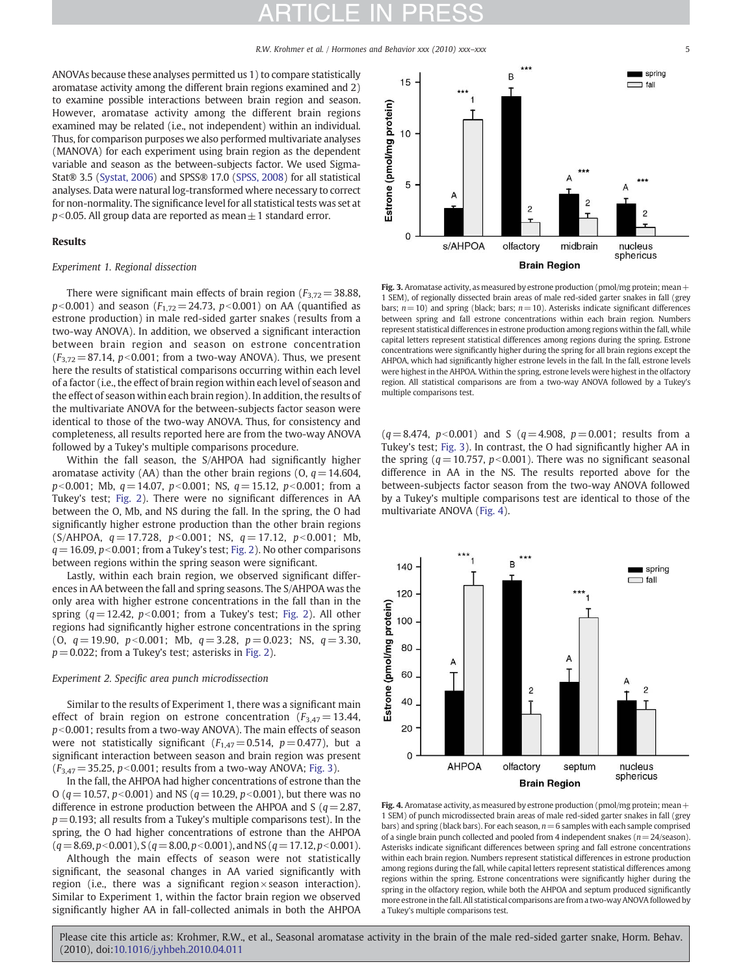R.W. Krohmer et al. / Hormones and Behavior xxx (2010) xxx–xxx 5

ANOVAs because these analyses permitted us 1) to compare statistically aromatase activity among the different brain regions examined and 2) to examine possible interactions between brain region and season. However, aromatase activity among the different brain regions examined may be related (i.e., not independent) within an individual. Thus, for comparison purposes we also performed multivariate analyses (MANOVA) for each experiment using brain region as the dependent variable and season as the between-subjects factor. We used Sigma-Stat® 3.5 [\(Systat, 2006\)](#page-7-0) and SPSS® 17.0 [\(SPSS, 2008\)](#page-7-0) for all statistical analyses. Data were natural log-transformed where necessary to correct for non-normality. The significance level for all statistical tests was set at  $p<0.05$ . All group data are reported as mean $\pm$ 1 standard error.

#### Results

#### Experiment 1. Regional dissection

There were significant main effects of brain region ( $F_{3,72}$  = 38.88,  $p$ <0.001) and season ( $F_{1,72}$  = 24.73,  $p$ <0.001) on AA (quantified as estrone production) in male red-sided garter snakes (results from a two-way ANOVA). In addition, we observed a significant interaction between brain region and season on estrone concentration  $(F_{3,72}= 87.14, p<0.001$ ; from a two-way ANOVA). Thus, we present here the results of statistical comparisons occurring within each level of a factor (i.e., the effect of brain region within each level of season and the effect of season within each brain region). In addition, the results of the multivariate ANOVA for the between-subjects factor season were identical to those of the two-way ANOVA. Thus, for consistency and completeness, all results reported here are from the two-way ANOVA followed by a Tukey's multiple comparisons procedure.

Within the fall season, the S/AHPOA had significantly higher aromatase activity (AA) than the other brain regions (O,  $q = 14.604$ ,  $p<0.001$ ; Mb,  $q= 14.07$ ,  $p<0.001$ ; NS,  $q= 15.12$ ,  $p<0.001$ ; from a Tukey's test; [Fig. 2\)](#page-3-0). There were no significant differences in AA between the O, Mb, and NS during the fall. In the spring, the O had significantly higher estrone production than the other brain regions (S/AHPOA,  $q = 17.728$ ,  $p < 0.001$ ; NS,  $q = 17.12$ ,  $p < 0.001$ ; Mb,  $q= 16.09$ ,  $p<0.001$ ; from a Tukey's test; [Fig. 2\)](#page-3-0). No other comparisons between regions within the spring season were significant.

Lastly, within each brain region, we observed significant differences in AA between the fall and spring seasons. The S/AHPOA was the only area with higher estrone concentrations in the fall than in the spring  $(q= 12.42, p<0.001$ ; from a Tukey's test; [Fig. 2](#page-3-0)). All other regions had significantly higher estrone concentrations in the spring (0,  $q = 19.90$ ,  $p < 0.001$ ; Mb,  $q = 3.28$ ,  $p = 0.023$ ; NS,  $q = 3.30$ ,  $p = 0.022$ ; from a Tukey's test; asterisks in [Fig. 2](#page-3-0)).

#### Experiment 2. Specific area punch microdissection

Similar to the results of Experiment 1, there was a significant main effect of brain region on estrone concentration ( $F_{3,47}=13.44$ ,  $p$ <0.001; results from a two-way ANOVA). The main effects of season were not statistically significant  $(F_{1,47}= 0.514, p= 0.477)$ , but a significant interaction between season and brain region was present  $(F_{3,47}= 35.25, p<0.001$ ; results from a two-way ANOVA; Fig. 3).

In the fall, the AHPOA had higher concentrations of estrone than the O ( $q=10.57$ ,  $p<0.001$ ) and NS ( $q=10.29$ ,  $p<0.001$ ), but there was no difference in estrone production between the AHPOA and S ( $q=2.87$ ,  $p=0.193$ ; all results from a Tukey's multiple comparisons test). In the spring, the O had higher concentrations of estrone than the AHPOA  $(q=8.69, p<0.001)$ , S ( $q=8.00, p<0.001$ ), and NS ( $q=17.12, p<0.001$ ).

Although the main effects of season were not statistically significant, the seasonal changes in AA varied significantly with region (i.e., there was a significant region  $\times$  season interaction). Similar to Experiment 1, within the factor brain region we observed significantly higher AA in fall-collected animals in both the AHPOA



Fig. 3. Aromatase activity, as measured by estrone production (pmol/mg protein; mean  $+$ 1 SEM), of regionally dissected brain areas of male red-sided garter snakes in fall (grey bars;  $n=10$ ) and spring (black; bars;  $n=10$ ). Asterisks indicate significant differences between spring and fall estrone concentrations within each brain region. Numbers represent statistical differences in estrone production among regions within the fall, while capital letters represent statistical differences among regions during the spring. Estrone concentrations were significantly higher during the spring for all brain regions except the AHPOA, which had significantly higher estrone levels in the fall. In the fall, estrone levels were highest in the AHPOA. Within the spring, estrone levels were highest in the olfactory region. All statistical comparisons are from a two-way ANOVA followed by a Tukey's multiple comparisons test.

 $(q= 8.474, p< 0.001)$  and S ( $q= 4.908, p= 0.001$ ; results from a Tukey's test; Fig. 3). In contrast, the O had significantly higher AA in the spring ( $q = 10.757$ ,  $p < 0.001$ ). There was no significant seasonal difference in AA in the NS. The results reported above for the between-subjects factor season from the two-way ANOVA followed by a Tukey's multiple comparisons test are identical to those of the multivariate ANOVA (Fig. 4).



Fig. 4. Aromatase activity, as measured by estrone production (pmol/mg protein; mean + 1 SEM) of punch microdissected brain areas of male red-sided garter snakes in fall (grey bars) and spring (black bars). For each season,  $n=6$  samples with each sample comprised of a single brain punch collected and pooled from 4 independent snakes ( $n=24$ /season). Asterisks indicate significant differences between spring and fall estrone concentrations within each brain region. Numbers represent statistical differences in estrone production among regions during the fall, while capital letters represent statistical differences among regions within the spring. Estrone concentrations were significantly higher during the spring in the olfactory region, while both the AHPOA and septum produced significantly more estrone in the fall. All statistical comparisons are from a two-way ANOVA followed by a Tukey's multiple comparisons test.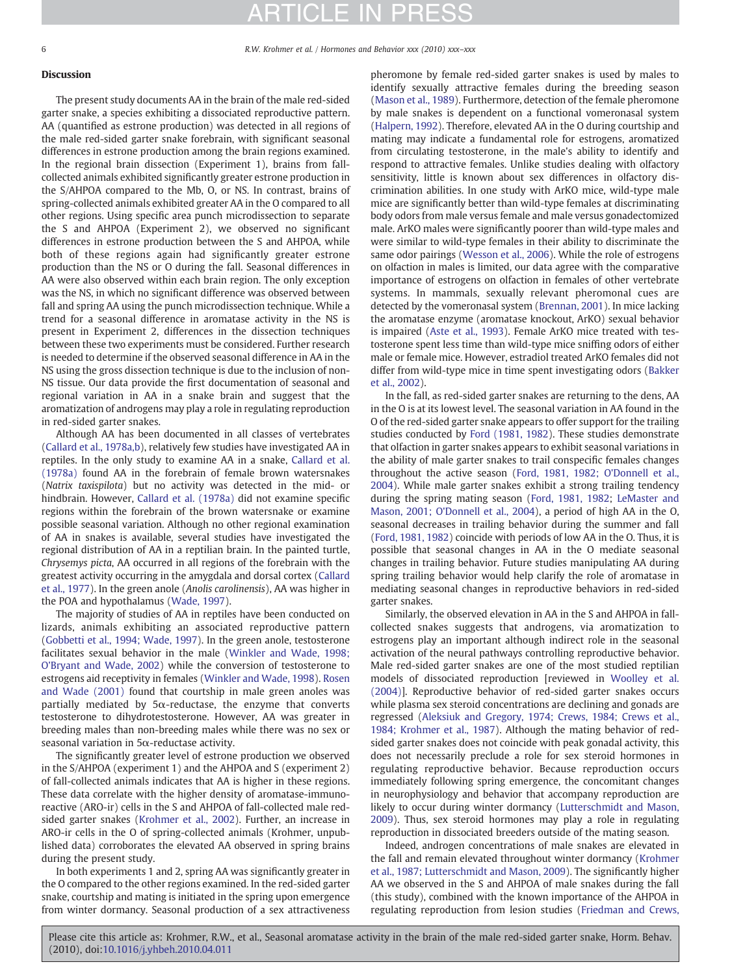6 R.W. Krohmer et al. / Hormones and Behavior xxx (2010) xxx–xxx

### Discussion

The present study documents AA in the brain of the male red-sided garter snake, a species exhibiting a dissociated reproductive pattern. AA (quantified as estrone production) was detected in all regions of the male red-sided garter snake forebrain, with significant seasonal differences in estrone production among the brain regions examined. In the regional brain dissection (Experiment 1), brains from fallcollected animals exhibited significantly greater estrone production in the S/AHPOA compared to the Mb, O, or NS. In contrast, brains of spring-collected animals exhibited greater AA in the O compared to all other regions. Using specific area punch microdissection to separate the S and AHPOA (Experiment 2), we observed no significant differences in estrone production between the S and AHPOA, while both of these regions again had significantly greater estrone production than the NS or O during the fall. Seasonal differences in AA were also observed within each brain region. The only exception was the NS, in which no significant difference was observed between fall and spring AA using the punch microdissection technique. While a trend for a seasonal difference in aromatase activity in the NS is present in Experiment 2, differences in the dissection techniques between these two experiments must be considered. Further research is needed to determine if the observed seasonal difference in AA in the NS using the gross dissection technique is due to the inclusion of non-NS tissue. Our data provide the first documentation of seasonal and regional variation in AA in a snake brain and suggest that the aromatization of androgens may play a role in regulating reproduction in red-sided garter snakes.

Although AA has been documented in all classes of vertebrates [\(Callard et al., 1978a,b\)](#page-6-0), relatively few studies have investigated AA in reptiles. In the only study to examine AA in a snake, [Callard et al.](#page-6-0) [\(1978a\)](#page-6-0) found AA in the forebrain of female brown watersnakes (Natrix taxispilota) but no activity was detected in the mid- or hindbrain. However, [Callard et al. \(1978a\)](#page-6-0) did not examine specific regions within the forebrain of the brown watersnake or examine possible seasonal variation. Although no other regional examination of AA in snakes is available, several studies have investigated the regional distribution of AA in a reptilian brain. In the painted turtle, Chrysemys picta, AA occurred in all regions of the forebrain with the greatest activity occurring in the amygdala and dorsal cortex [\(Callard](#page-6-0) [et al., 1977](#page-6-0)). In the green anole (Anolis carolinensis), AA was higher in the POA and hypothalamus [\(Wade, 1997](#page-7-0)).

The majority of studies of AA in reptiles have been conducted on lizards, animals exhibiting an associated reproductive pattern [\(Gobbetti et al., 1994; Wade, 1997\)](#page-6-0). In the green anole, testosterone facilitates sexual behavior in the male [\(Winkler and Wade, 1998;](#page-7-0) [O'Bryant and Wade, 2002\)](#page-7-0) while the conversion of testosterone to estrogens aid receptivity in females [\(Winkler and Wade, 1998\)](#page-7-0). [Rosen](#page-7-0) [and Wade \(2001\)](#page-7-0) found that courtship in male green anoles was partially mediated by 5 $\alpha$ -reductase, the enzyme that converts testosterone to dihydrotestosterone. However, AA was greater in breeding males than non-breeding males while there was no sex or seasonal variation in 5α-reductase activity.

The significantly greater level of estrone production we observed in the S/AHPOA (experiment 1) and the AHPOA and S (experiment 2) of fall-collected animals indicates that AA is higher in these regions. These data correlate with the higher density of aromatase-immunoreactive (ARO-ir) cells in the S and AHPOA of fall-collected male redsided garter snakes [\(Krohmer et al., 2002](#page-6-0)). Further, an increase in ARO-ir cells in the O of spring-collected animals (Krohmer, unpublished data) corroborates the elevated AA observed in spring brains during the present study.

In both experiments 1 and 2, spring AA was significantly greater in the O compared to the other regions examined. In the red-sided garter snake, courtship and mating is initiated in the spring upon emergence from winter dormancy. Seasonal production of a sex attractiveness pheromone by female red-sided garter snakes is used by males to identify sexually attractive females during the breeding season [\(Mason et al., 1989\)](#page-6-0). Furthermore, detection of the female pheromone by male snakes is dependent on a functional vomeronasal system [\(Halpern, 1992](#page-6-0)). Therefore, elevated AA in the O during courtship and mating may indicate a fundamental role for estrogens, aromatized from circulating testosterone, in the male's ability to identify and respond to attractive females. Unlike studies dealing with olfactory sensitivity, little is known about sex differences in olfactory discrimination abilities. In one study with ArKO mice, wild-type male mice are significantly better than wild-type females at discriminating body odors from male versus female and male versus gonadectomized male. ArKO males were significantly poorer than wild-type males and were similar to wild-type females in their ability to discriminate the same odor pairings ([Wesson et al., 2006](#page-7-0)). While the role of estrogens on olfaction in males is limited, our data agree with the comparative importance of estrogens on olfaction in females of other vertebrate systems. In mammals, sexually relevant pheromonal cues are detected by the vomeronasal system ([Brennan, 2001](#page-6-0)). In mice lacking the aromatase enzyme (aromatase knockout, ArKO) sexual behavior is impaired ([Aste et al., 1993](#page-6-0)). Female ArKO mice treated with testosterone spent less time than wild-type mice sniffing odors of either male or female mice. However, estradiol treated ArKO females did not differ from wild-type mice in time spent investigating odors ([Bakker](#page-6-0) [et al., 2002\)](#page-6-0).

In the fall, as red-sided garter snakes are returning to the dens, AA in the O is at its lowest level. The seasonal variation in AA found in the O of the red-sided garter snake appears to offer support for the trailing studies conducted by [Ford \(1981, 1982](#page-6-0)). These studies demonstrate that olfaction in garter snakes appears to exhibit seasonal variations in the ability of male garter snakes to trail conspecific females changes throughout the active season [\(Ford, 1981, 1982; O'Donnell et al.,](#page-6-0) [2004\)](#page-6-0). While male garter snakes exhibit a strong trailing tendency during the spring mating season [\(Ford, 1981, 1982](#page-6-0); [LeMaster and](#page-6-0) [Mason, 2001; O'Donnell et al., 2004](#page-6-0)), a period of high AA in the O, seasonal decreases in trailing behavior during the summer and fall [\(Ford, 1981, 1982](#page-6-0)) coincide with periods of low AA in the O. Thus, it is possible that seasonal changes in AA in the O mediate seasonal changes in trailing behavior. Future studies manipulating AA during spring trailing behavior would help clarify the role of aromatase in mediating seasonal changes in reproductive behaviors in red-sided garter snakes.

Similarly, the observed elevation in AA in the S and AHPOA in fallcollected snakes suggests that androgens, via aromatization to estrogens play an important although indirect role in the seasonal activation of the neural pathways controlling reproductive behavior. Male red-sided garter snakes are one of the most studied reptilian models of dissociated reproduction [reviewed in [Woolley et al.](#page-7-0) [\(2004\)\]](#page-7-0). Reproductive behavior of red-sided garter snakes occurs while plasma sex steroid concentrations are declining and gonads are regressed ([Aleksiuk and Gregory, 1974; Crews, 1984; Crews et al.,](#page-6-0) [1984; Krohmer et al., 1987](#page-6-0)). Although the mating behavior of redsided garter snakes does not coincide with peak gonadal activity, this does not necessarily preclude a role for sex steroid hormones in regulating reproductive behavior. Because reproduction occurs immediately following spring emergence, the concomitant changes in neurophysiology and behavior that accompany reproduction are likely to occur during winter dormancy ([Lutterschmidt and Mason,](#page-6-0) [2009\)](#page-6-0). Thus, sex steroid hormones may play a role in regulating reproduction in dissociated breeders outside of the mating season.

Indeed, androgen concentrations of male snakes are elevated in the fall and remain elevated throughout winter dormancy [\(Krohmer](#page-6-0) [et al., 1987; Lutterschmidt and Mason, 2009](#page-6-0)). The significantly higher AA we observed in the S and AHPOA of male snakes during the fall (this study), combined with the known importance of the AHPOA in regulating reproduction from lesion studies [\(Friedman and Crews,](#page-6-0)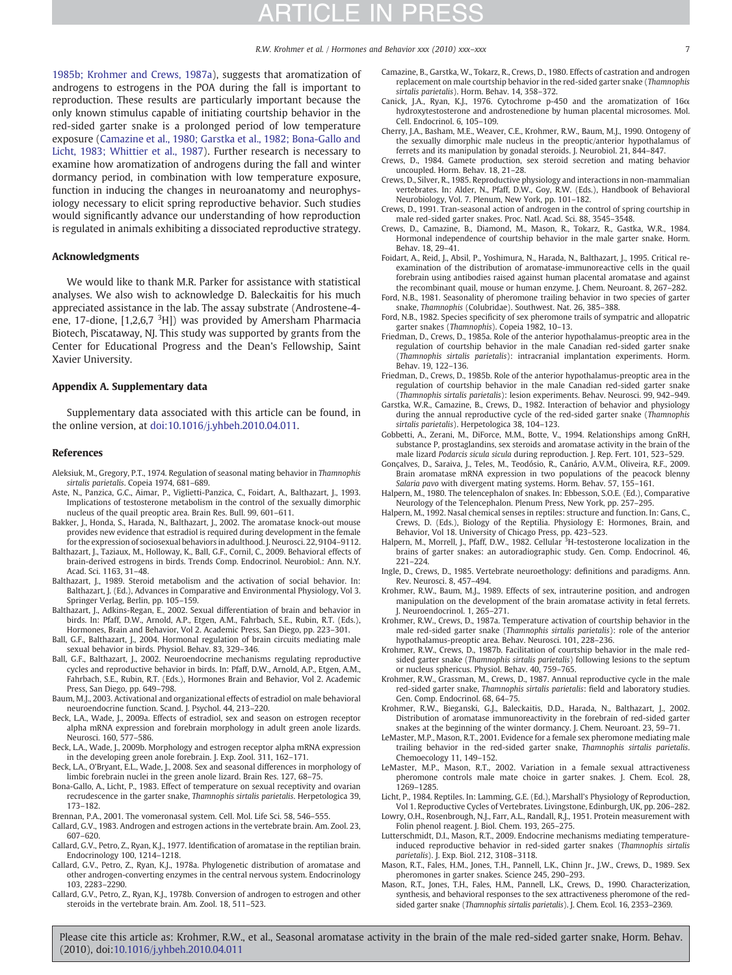R.W. Krohmer et al. / Hormones and Behavior xxx (2010) xxx-xxx

<span id="page-6-0"></span>1985b; Krohmer and Crews, 1987a), suggests that aromatization of androgens to estrogens in the POA during the fall is important to reproduction. These results are particularly important because the only known stimulus capable of initiating courtship behavior in the red-sided garter snake is a prolonged period of low temperature exposure (Camazine et al., 1980; Garstka et al., 1982; Bona-Gallo and Licht, 1983; Whittier et al., 1987). Further research is necessary to examine how aromatization of androgens during the fall and winter dormancy period, in combination with low temperature exposure, function in inducing the changes in neuroanatomy and neurophysiology necessary to elicit spring reproductive behavior. Such studies would significantly advance our understanding of how reproduction is regulated in animals exhibiting a dissociated reproductive strategy.

#### Acknowledgments

We would like to thank M.R. Parker for assistance with statistical analyses. We also wish to acknowledge D. Baleckaitis for his much appreciated assistance in the lab. The assay substrate (Androstene-4 ene, 17-dione, [1,2,6,7<sup>3</sup>H]) was provided by Amersham Pharmacia Biotech, Piscataway, NJ. This study was supported by grants from the Center for Educational Progress and the Dean's Fellowship, Saint Xavier University.

#### Appendix A. Supplementary data

Supplementary data associated with this article can be found, in the online version, at doi[:10.1016/j.yhbeh.2010.04.011](http://dx.doi.org/10.1016/j.yhbeh.2010.04.011).

#### References

- Aleksiuk, M., Gregory, P.T., 1974. Regulation of seasonal mating behavior in Thamnophis sirtalis parietalis. Copeia 1974, 681–689.
- Aste, N., Panzica, G.C., Aimar, P., Viglietti-Panzica, C., Foidart, A., Balthazart, J., 1993. Implications of testosterone metabolism in the control of the sexually dimorphic nucleus of the quail preoptic area. Brain Res. Bull. 99, 601–611.
- Bakker, J., Honda, S., Harada, N., Balthazart, J., 2002. The aromatase knock-out mouse provides new evidence that estradiol is required during development in the female for the expression of sociosexual behaviors in adulthood. J. Neurosci. 22, 9104–9112.
- Balthazart, J., Taziaux, M., Holloway, K., Ball, G.F., Cornil, C., 2009. Behavioral effects of brain-derived estrogens in birds. Trends Comp. Endocrinol. Neurobiol.: Ann. N.Y. Acad. Sci. 1163, 31–48.
- Balthazart, J., 1989. Steroid metabolism and the activation of social behavior. In: Balthazart, J. (Ed.), Advances in Comparative and Environmental Physiology, Vol 3. Springer Verlag, Berlin, pp. 105–159.
- Balthazart, J., Adkins-Regan, E., 2002. Sexual differentiation of brain and behavior in birds. In: Pfaff, D.W., Arnold, A.P., Etgen, A.M., Fahrbach, S.E., Rubin, R.T. (Eds.), Hormones, Brain and Behavior, Vol 2. Academic Press, San Diego, pp. 223–301.
- Ball, G.F., Balthazart, J., 2004. Hormonal regulation of brain circuits mediating male sexual behavior in birds. Physiol. Behav. 83, 329–346.
- Ball, G.F., Balthazart, J., 2002. Neuroendocrine mechanisms regulating reproductive cycles and reproductive behavior in birds. In: Pfaff, D.W., Arnold, A.P., Etgen, A.M., Fahrbach, S.E., Rubin, R.T. (Eds.), Hormones Brain and Behavior, Vol 2. Academic Press, San Diego, pp. 649–798.
- Baum, M.J., 2003. Activational and organizational effects of estradiol on male behavioral neuroendocrine function. Scand. J. Psychol. 44, 213–220.
- Beck, L.A., Wade, J., 2009a. Effects of estradiol, sex and season on estrogen receptor alpha mRNA expression and forebrain morphology in adult green anole lizards. Neurosci. 160, 577–586.
- Beck, L.A., Wade, J., 2009b. Morphology and estrogen receptor alpha mRNA expression in the developing green anole forebrain. J. Exp. Zool. 311, 162–171.
- Beck, L.A., O'Bryant, E.L., Wade, J., 2008. Sex and seasonal differences in morphology of limbic forebrain nuclei in the green anole lizard. Brain Res. 127, 68–75.
- Bona-Gallo, A., Licht, P., 1983. Effect of temperature on sexual receptivity and ovarian recrudescence in the garter snake, Thamnophis sirtalis parietalis. Herpetologica 39, 173–182.
- Brennan, P.A., 2001. The vomeronasal system. Cell. Mol. Life Sci. 58, 546–555.
- Callard, G.V., 1983. Androgen and estrogen actions in the vertebrate brain. Am. Zool. 23, 607–620.
- Callard, G.V., Petro, Z., Ryan, K.J., 1977. Identification of aromatase in the reptilian brain. Endocrinology 100, 1214–1218.
- Callard, G.V., Petro, Z., Ryan, K.J., 1978a. Phylogenetic distribution of aromatase and other androgen-converting enzymes in the central nervous system. Endocrinology 103, 2283–2290.
- Callard, G.V., Petro, Z., Ryan, K.J., 1978b. Conversion of androgen to estrogen and other steroids in the vertebrate brain. Am. Zool. 18, 511–523.
- Camazine, B., Garstka, W., Tokarz, R., Crews, D., 1980. Effects of castration and androgen replacement on male courtship behavior in the red-sided garter snake (Thamnophis sirtalis parietalis). Horm. Behav. 14, 358–372.
- Canick, J.A., Ryan, K.J., 1976. Cytochrome p-450 and the aromatization of 16α hydroxytestosterone and androstenedione by human placental microsomes. Mol. Cell. Endocrinol. 6, 105–109.
- Cherry, J.A., Basham, M.E., Weaver, C.E., Krohmer, R.W., Baum, M.J., 1990. Ontogeny of the sexually dimorphic male nucleus in the preoptic/anterior hypothalamus of ferrets and its manipulation by gonadal steroids. J. Neurobiol. 21, 844–847.
- Crews, D., 1984. Gamete production, sex steroid secretion and mating behavior uncoupled. Horm. Behav. 18, 21–28.
- Crews, D., Silver, R., 1985. Reproductive physiology and interactions in non-mammalian vertebrates. In: Alder, N., Pfaff, D.W., Goy, R.W. (Eds.), Handbook of Behavioral Neurobiology, Vol. 7. Plenum, New York, pp. 101–182.
- Crews, D., 1991. Tran-seasonal action of androgen in the control of spring courtship in male red-sided garter snakes. Proc. Natl. Acad. Sci. 88, 3545–3548.
- Crews, D., Camazine, B., Diamond, M., Mason, R., Tokarz, R., Gastka, W.R., 1984. Hormonal independence of courtship behavior in the male garter snake. Horm. Behav. 18, 29–41.
- Foidart, A., Reid, J., Absil, P., Yoshimura, N., Harada, N., Balthazart, J., 1995. Critical reexamination of the distribution of aromatase-immunoreactive cells in the quail forebrain using antibodies raised against human placental aromatase and against the recombinant quail, mouse or human enzyme. J. Chem. Neuroant. 8, 267–282.
- Ford, N.B., 1981. Seasonality of pheromone trailing behavior in two species of garter snake, Thamnophis (Colubridae). Southwest. Nat. 26, 385–388.
- Ford, N.B., 1982. Species specificity of sex pheromone trails of sympatric and allopatric garter snakes (Thamnophis). Copeia 1982, 10–13.
- Friedman, D., Crews, D., 1985a. Role of the anterior hypothalamus-preoptic area in the regulation of courtship behavior in the male Canadian red-sided garter snake (Thamnophis sirtalis parietalis): intracranial implantation experiments. Horm. Behav. 19, 122–136.
- Friedman, D., Crews, D., 1985b. Role of the anterior hypothalamus-preoptic area in the regulation of courtship behavior in the male Canadian red-sided garter snake (Thamnophis sirtalis parietalis): lesion experiments. Behav. Neurosci. 99, 942–949.
- Garstka, W.R., Camazine, B., Crews, D., 1982. Interaction of behavior and physiology during the annual reproductive cycle of the red-sided garter snake (Thamnophis sirtalis parietalis). Herpetologica 38, 104–123.
- Gobbetti, A., Zerani, M., DiForce, M.M., Botte, V., 1994. Relationships among GnRH, substance P, prostaglandins, sex steroids and aromatase activity in the brain of the male lizard Podarcis sicula sicula during reproduction. J. Rep. Fert. 101, 523–529.
- Gonçalves, D., Saraiva, J., Teles, M., Teodósio, R., Canário, A.V.M., Oliveira, R.F., 2009. Brain aromatase mRNA expression in two populations of the peacock blenny Salaria pavo with divergent mating systems. Horm. Behav. 57, 155–161.
- Halpern, M., 1980. The telencephalon of snakes. In: Ebbesson, S.O.E. (Ed.), Comparative Neurology of the Telencephalon. Plenum Press, New York, pp. 257–295.
- Halpern, M., 1992. Nasal chemical senses in reptiles: structure and function. In: Gans, C., Crews, D. (Eds.), Biology of the Reptilia. Physiology E: Hormones, Brain, and Behavior, Vol 18. University of Chicago Press, pp. 423–523.
- Halpern, M., Morrell, J., Pfaff, D.W., 1982. Cellular <sup>3</sup>H-testosterone localization in the brains of garter snakes: an autoradiographic study. Gen. Comp. Endocrinol. 46, 221–224.
- Ingle, D., Crews, D., 1985. Vertebrate neuroethology: definitions and paradigms. Ann. Rev. Neurosci. 8, 457–494.
- Krohmer, R.W., Baum, M.J., 1989. Effects of sex, intrauterine position, and androgen manipulation on the development of the brain aromatase activity in fetal ferrets. J. Neuroendocrinol. 1, 265–271.
- Krohmer, R.W., Crews, D., 1987a. Temperature activation of courtship behavior in the male red-sided garter snake (Thamnophis sirtalis parietalis): role of the anterior hypothalamus-preoptic area. Behav. Neurosci. 101, 228–236.
- Krohmer, R.W., Crews, D., 1987b. Facilitation of courtship behavior in the male redsided garter snake (Thamnophis sirtalis parietalis) following lesions to the septum or nucleus sphericus. Physiol. Behav. 40, 759–765.
- Krohmer, R.W., Grassman, M., Crews, D., 1987. Annual reproductive cycle in the male red-sided garter snake, Thamnophis sirtalis parietalis: field and laboratory studies. Gen. Comp. Endocrinol. 68, 64–75.
- Krohmer, R.W., Bieganski, G.J., Baleckaitis, D.D., Harada, N., Balthazart, J., 2002. Distribution of aromatase immunoreactivity in the forebrain of red-sided garter snakes at the beginning of the winter dormancy. J. Chem. Neuroant. 23, 59–71.
- LeMaster, M.P., Mason, R.T., 2001. Evidence for a female sex pheromone mediating male trailing behavior in the red-sided garter snake, Thamnophis sirtalis parietalis. Chemoecology 11, 149–152.
- LeMaster, M.P., Mason, R.T., 2002. Variation in a female sexual attractiveness pheromone controls male mate choice in garter snakes. J. Chem. Ecol. 28, 1269–1285.
- Licht, P., 1984. Reptiles. In: Lamming, G.E. (Ed.), Marshall's Physiology of Reproduction, Vol 1. Reproductive Cycles of Vertebrates. Livingstone, Edinburgh, UK, pp. 206–282.
- Lowry, O.H., Rosenbrough, N.J., Farr, A.L., Randall, R.J., 1951. Protein measurement with Folin phenol reagent. J. Biol. Chem. 193, 265–275.
- Lutterschmidt, D.I., Mason, R.T., 2009. Endocrine mechanisms mediating temperatureinduced reproductive behavior in red-sided garter snakes (Thamnophis sirtalis parietalis). J. Exp. Biol. 212, 3108–3118.
- Mason, R.T., Fales, H.M., Jones, T.H., Pannell, L.K., Chinn Jr., J.W., Crews, D., 1989. Sex pheromones in garter snakes. Science 245, 290–293.
- Mason, R.T., Jones, T.H., Fales, H.M., Pannell, L.K., Crews, D., 1990. Characterization, synthesis, and behavioral responses to the sex attractiveness pheromone of the redsided garter snake (Thamnophis sirtalis parietalis). J. Chem. Ecol. 16, 2353–2369.